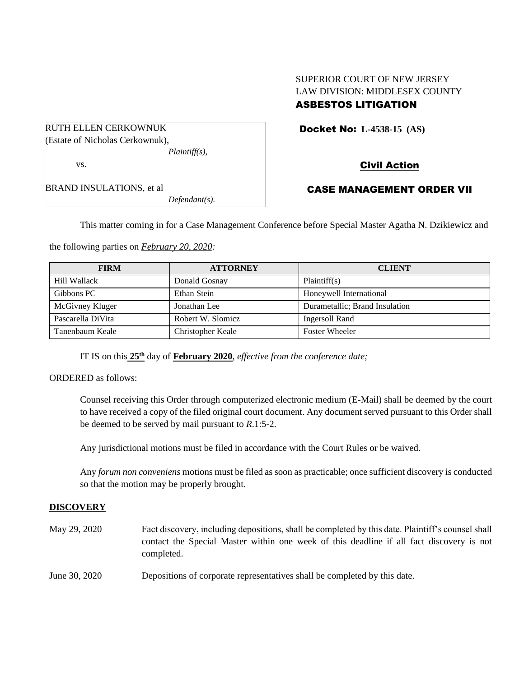# SUPERIOR COURT OF NEW JERSEY LAW DIVISION: MIDDLESEX COUNTY

# ASBESTOS LITIGATION

Docket No: **L-4538-15 (AS)** 

Civil Action

BRAND INSULATIONS, et al *Defendant(s).*

# CASE MANAGEMENT ORDER VII

This matter coming in for a Case Management Conference before Special Master Agatha N. Dzikiewicz and

the following parties on *February 20, 2020:*

| <b>FIRM</b>       | <b>ATTORNEY</b>   | <b>CLIENT</b>                  |
|-------------------|-------------------|--------------------------------|
| Hill Wallack      | Donald Gosnay     | Plaintiff(s)                   |
| Gibbons PC        | Ethan Stein       | Honeywell International        |
| McGivney Kluger   | Jonathan Lee      | Durametallic; Brand Insulation |
| Pascarella DiVita | Robert W. Slomicz | Ingersoll Rand                 |
| Tanenbaum Keale   | Christopher Keale | <b>Foster Wheeler</b>          |

IT IS on this  $25<sup>th</sup>$  day of **February 2020**, *effective from the conference date*;

ORDERED as follows:

Counsel receiving this Order through computerized electronic medium (E-Mail) shall be deemed by the court to have received a copy of the filed original court document. Any document served pursuant to this Order shall be deemed to be served by mail pursuant to *R*.1:5-2.

Any jurisdictional motions must be filed in accordance with the Court Rules or be waived.

Any *forum non conveniens* motions must be filed as soon as practicable; once sufficient discovery is conducted so that the motion may be properly brought.

## **DISCOVERY**

| May 29, 2020  | Fact discovery, including depositions, shall be completed by this date. Plaintiff's counsel shall<br>contact the Special Master within one week of this deadline if all fact discovery is not<br>completed. |
|---------------|-------------------------------------------------------------------------------------------------------------------------------------------------------------------------------------------------------------|
| June 30, 2020 | Depositions of corporate representatives shall be completed by this date.                                                                                                                                   |

RUTH ELLEN CERKOWNUK (Estate of Nicholas Cerkownuk), *Plaintiff(s),* vs.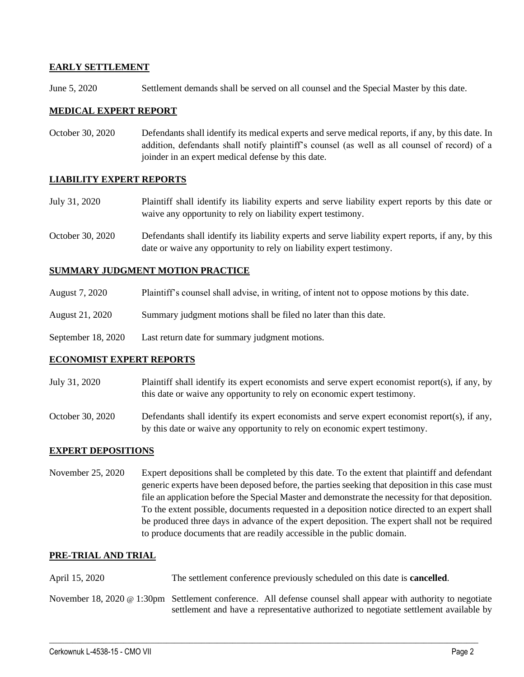## **EARLY SETTLEMENT**

June 5, 2020 Settlement demands shall be served on all counsel and the Special Master by this date.

### **MEDICAL EXPERT REPORT**

October 30, 2020 Defendants shall identify its medical experts and serve medical reports, if any, by this date. In addition, defendants shall notify plaintiff's counsel (as well as all counsel of record) of a joinder in an expert medical defense by this date.

## **LIABILITY EXPERT REPORTS**

- July 31, 2020 Plaintiff shall identify its liability experts and serve liability expert reports by this date or waive any opportunity to rely on liability expert testimony.
- October 30, 2020 Defendants shall identify its liability experts and serve liability expert reports, if any, by this date or waive any opportunity to rely on liability expert testimony.

### **SUMMARY JUDGMENT MOTION PRACTICE**

- August 7, 2020 Plaintiff's counsel shall advise, in writing, of intent not to oppose motions by this date.
- August 21, 2020 Summary judgment motions shall be filed no later than this date.
- September 18, 2020 Last return date for summary judgment motions.

#### **ECONOMIST EXPERT REPORTS**

- July 31, 2020 Plaintiff shall identify its expert economists and serve expert economist report(s), if any, by this date or waive any opportunity to rely on economic expert testimony.
- October 30, 2020 Defendants shall identify its expert economists and serve expert economist report(s), if any, by this date or waive any opportunity to rely on economic expert testimony.

#### **EXPERT DEPOSITIONS**

November 25, 2020 Expert depositions shall be completed by this date. To the extent that plaintiff and defendant generic experts have been deposed before, the parties seeking that deposition in this case must file an application before the Special Master and demonstrate the necessity for that deposition. To the extent possible, documents requested in a deposition notice directed to an expert shall be produced three days in advance of the expert deposition. The expert shall not be required to produce documents that are readily accessible in the public domain.

#### **PRE-TRIAL AND TRIAL**

April 15, 2020 The settlement conference previously scheduled on this date is **cancelled**.

November 18, 2020 @ 1:30pm Settlement conference. All defense counsel shall appear with authority to negotiate settlement and have a representative authorized to negotiate settlement available by

 $\_$  , and the set of the set of the set of the set of the set of the set of the set of the set of the set of the set of the set of the set of the set of the set of the set of the set of the set of the set of the set of th